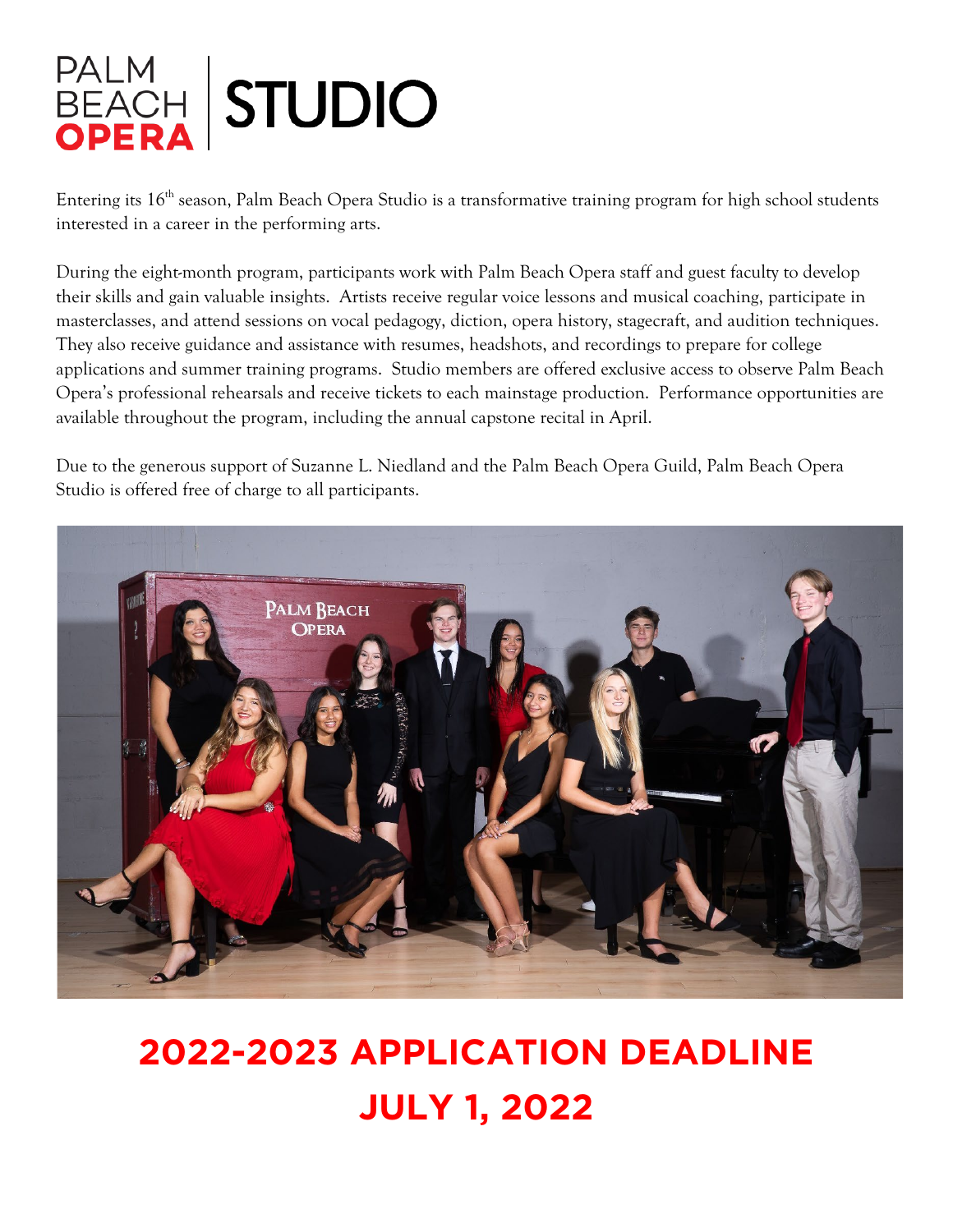

Entering its 16<sup>th</sup> season, Palm Beach Opera Studio is a transformative training program for high school students interested in a career in the performing arts.

During the eight-month program, participants work with Palm Beach Opera staff and guest faculty to develop their skills and gain valuable insights. Artists receive regular voice lessons and musical coaching, participate in masterclasses, and attend sessions on vocal pedagogy, diction, opera history, stagecraft, and audition techniques. They also receive guidance and assistance with resumes, headshots, and recordings to prepare for college applications and summer training programs. Studio members are offered exclusive access to observe Palm Beach Opera's professional rehearsals and receive tickets to each mainstage production. Performance opportunities are available throughout the program, including the annual capstone recital in April.

Due to the generous support of Suzanne L. Niedland and the Palm Beach Opera Guild, Palm Beach Opera Studio is offered free of charge to all participants.



# **2022-2023 APPLICATION DEADLINE JULY 1, 2022**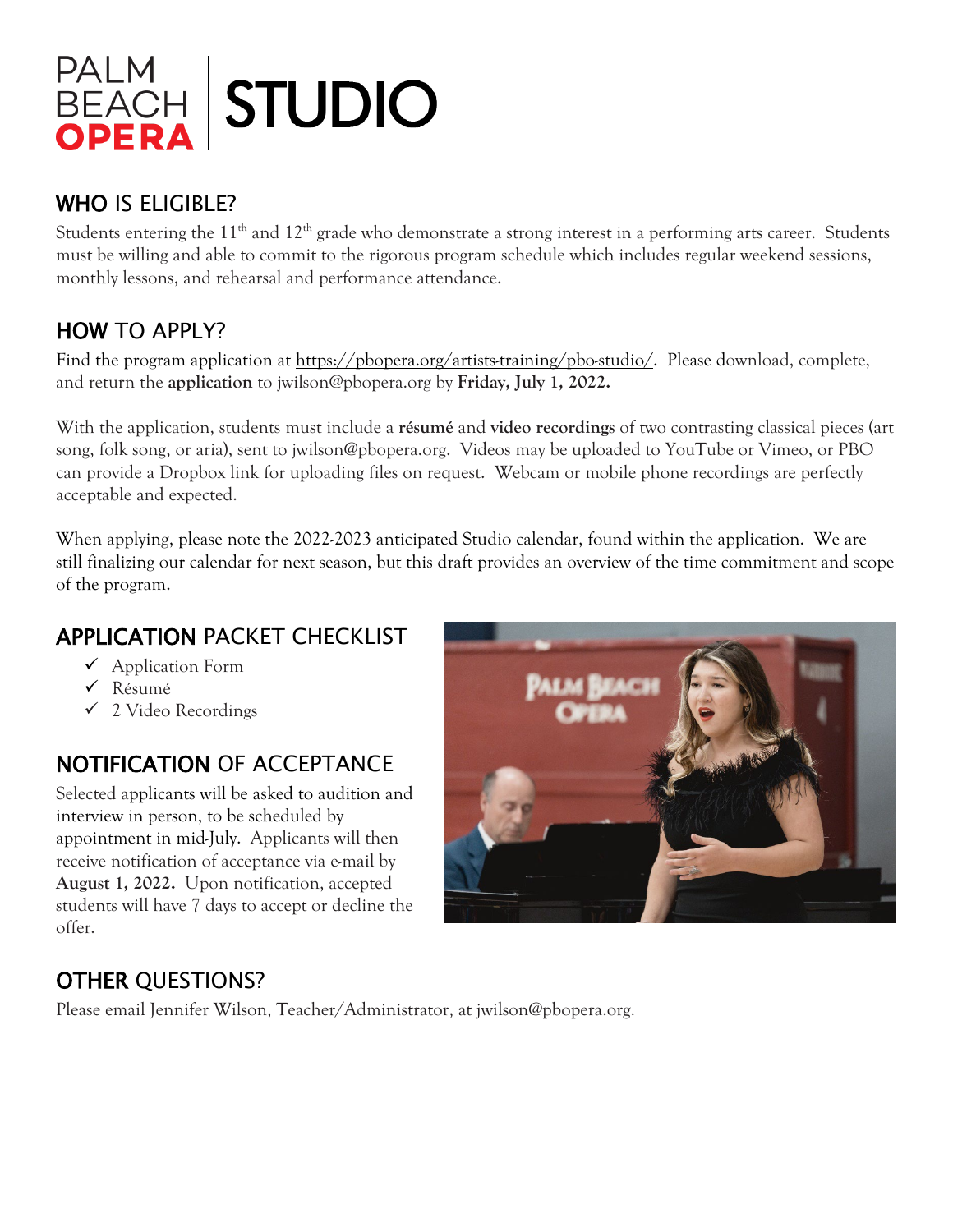

# WHO IS ELIGIBLE?

Students entering the 11<sup>th</sup> and 12<sup>th</sup> grade who demonstrate a strong interest in a performing arts career. Students must be willing and able to commit to the rigorous program schedule which includes regular weekend sessions, monthly lessons, and rehearsal and performance attendance.

# HOW TO APPLY?

Find the program application at https://pbopera.org/artists-training/pbo-studio/. Please download, complete, and return the **application** to jwilson@pbopera.org by **Friday, July 1, 2022.**

With the application, students must include a **résumé** and **video recordings** of two contrasting classical pieces (art song, folk song, or aria), sent to jwilson@pbopera.org. Videos may be uploaded to YouTube or Vimeo, or PBO can provide a Dropbox link for uploading files on request. Webcam or mobile phone recordings are perfectly acceptable and expected.

When applying, please note the 2022-2023 anticipated Studio calendar, found within the application. We are still finalizing our calendar for next season, but this draft provides an overview of the time commitment and scope of the program.

# APPLICATION PACKET CHECKLIST

- $\checkmark$  Application Form
- Résumé
- 2 Video Recordings

# NOTIFICATION OF ACCEPTANCE

Selected applicants will be asked to audition and interview in person, to be scheduled by appointment in mid-July. Applicants will then receive notification of acceptance via e-mail by **August 1, 2022.** Upon notification, accepted students will have 7 days to accept or decline the offer.



# OTHER QUESTIONS?

Please email Jennifer Wilson, Teacher/Administrator, at jwilson@pbopera.org.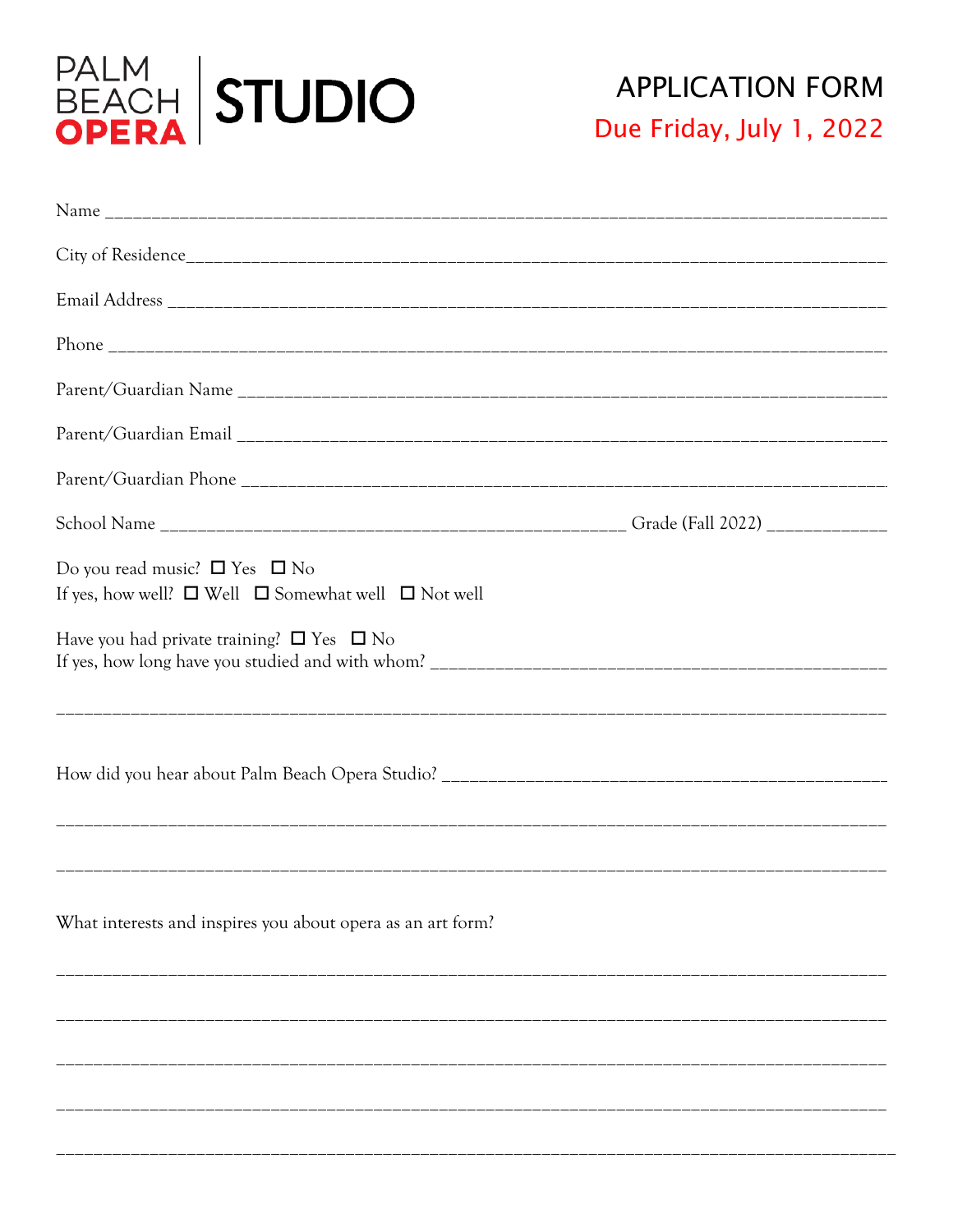

| Do you read music? $\Box$ Yes $\Box$ No<br>If yes, how well? $\Box$ Well $\Box$ Somewhat well $\Box$ Not well |  |
|---------------------------------------------------------------------------------------------------------------|--|
| Have you had private training? $\square$ Yes $\square$ No                                                     |  |
|                                                                                                               |  |
| What interests and inspires you about opera as an art form?                                                   |  |
|                                                                                                               |  |
|                                                                                                               |  |
|                                                                                                               |  |
|                                                                                                               |  |
|                                                                                                               |  |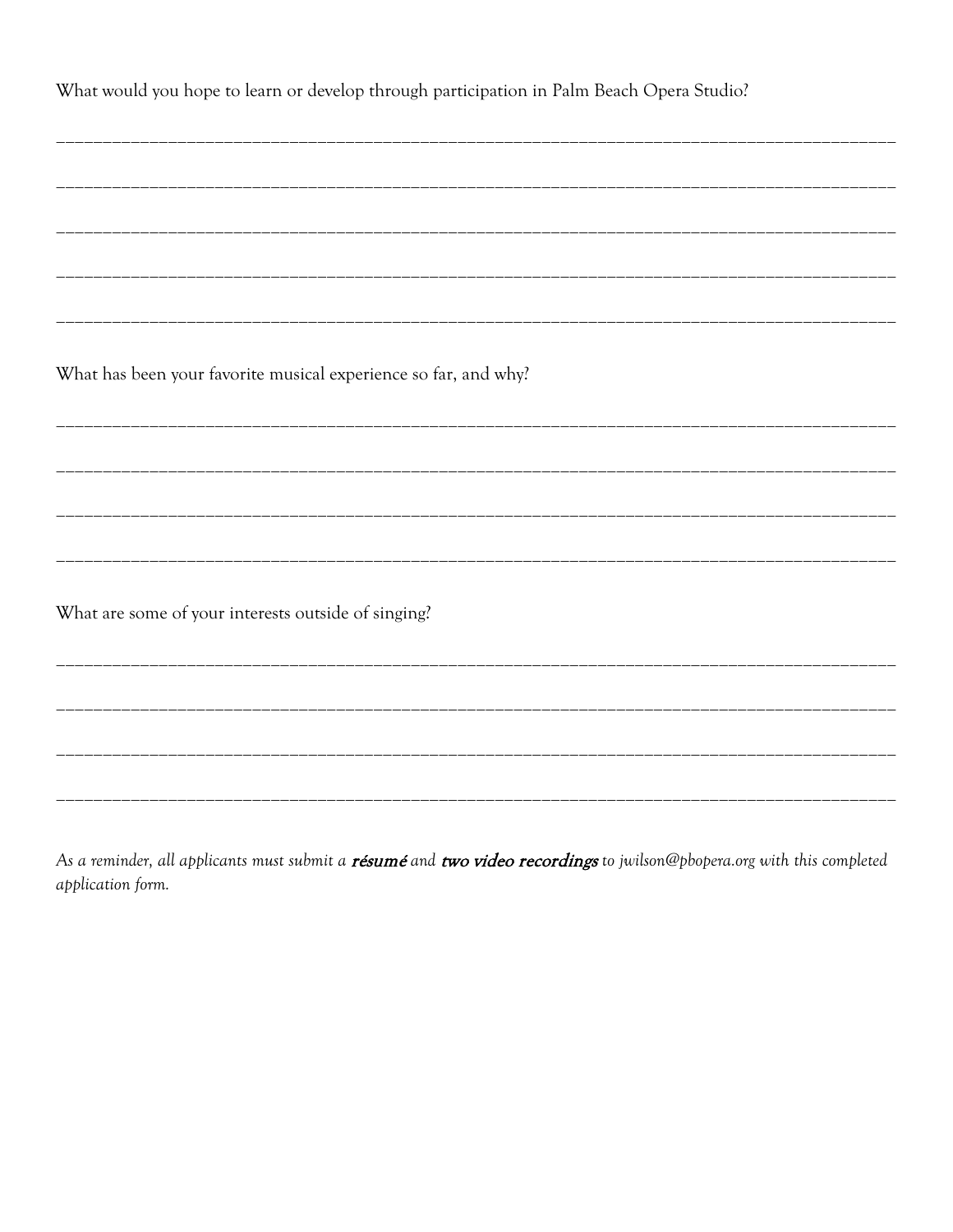What would you hope to learn or develop through participation in Palm Beach Opera Studio? What has been your favorite musical experience so far, and why? What are some of your interests outside of singing?

As a reminder, all applicants must submit a résumé and two video recordings to jwilson@pbopera.org with this completed application form.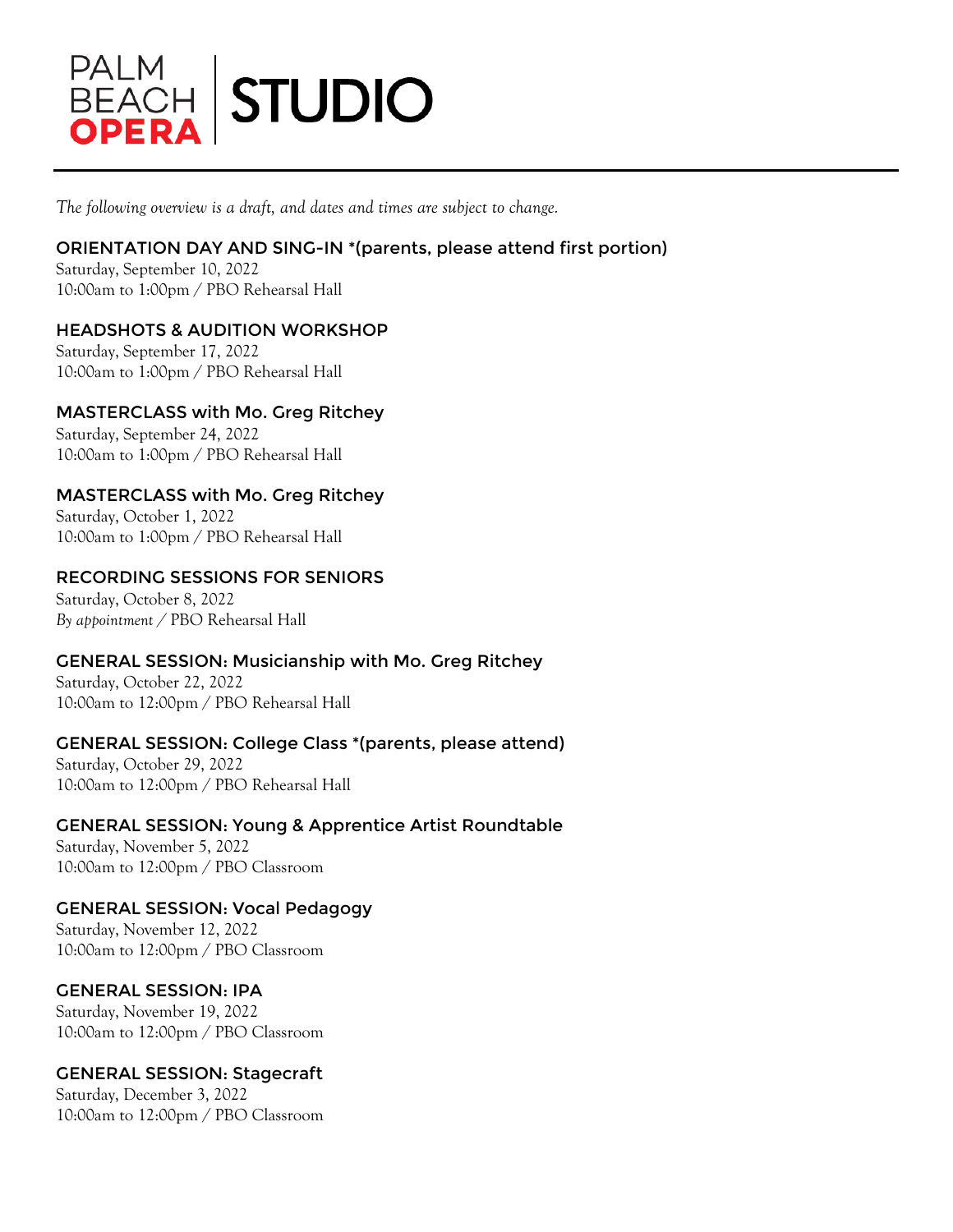

*The following overview is a draft, and dates and times are subject to change.*

### ORIENTATION DAY AND SING-IN \*(parents, please attend first portion)

Saturday, September 10, 2022 10:00am to 1:00pm / PBO Rehearsal Hall

# HEADSHOTS & AUDITION WORKSHOP

Saturday, September 17, 2022 10:00am to 1:00pm / PBO Rehearsal Hall

# MASTERCLASS with Mo. Greg Ritchey

Saturday, September 24, 2022 10:00am to 1:00pm / PBO Rehearsal Hall

# MASTERCLASS with Mo. Greg Ritchey

Saturday, October 1, 2022 10:00am to 1:00pm / PBO Rehearsal Hall

### RECORDING SESSIONS FOR SENIORS

Saturday, October 8, 2022 *By appointment /* PBO Rehearsal Hall

### GENERAL SESSION: Musicianship with Mo. Greg Ritchey

Saturday, October 22, 2022 10:00am to 12:00pm / PBO Rehearsal Hall

### GENERAL SESSION: College Class \*(parents, please attend)

Saturday, October 29, 2022 10:00am to 12:00pm / PBO Rehearsal Hall

# GENERAL SESSION: Young & Apprentice Artist Roundtable

Saturday, November 5, 2022 10:00am to 12:00pm / PBO Classroom

### GENERAL SESSION: Vocal Pedagogy

Saturday, November 12, 2022 10:00am to 12:00pm / PBO Classroom

### GENERAL SESSION: IPA

Saturday, November 19, 2022 10:00am to 12:00pm / PBO Classroom

### GENERAL SESSION: Stagecraft

Saturday, December 3, 2022 10:00am to 12:00pm / PBO Classroom